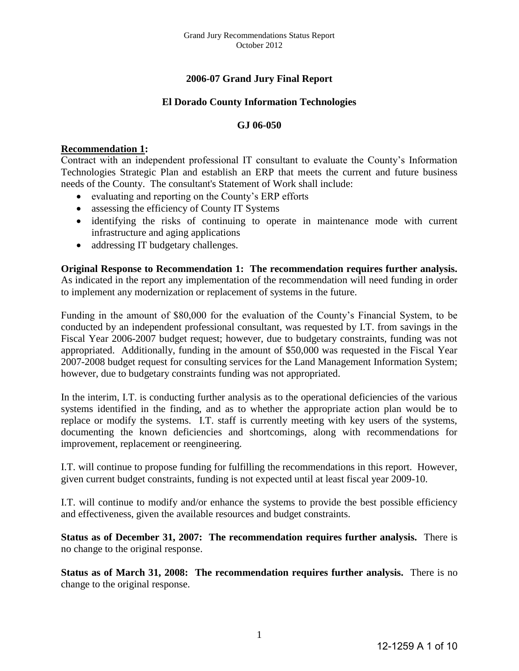# **2006-07 Grand Jury Final Report**

## **El Dorado County Information Technologies**

#### **GJ 06-050**

#### **Recommendation 1:**

Contract with an independent professional IT consultant to evaluate the County's Information Technologies Strategic Plan and establish an ERP that meets the current and future business needs of the County. The consultant's Statement of Work shall include:

- evaluating and reporting on the County's ERP efforts
- assessing the efficiency of County IT Systems
- identifying the risks of continuing to operate in maintenance mode with current infrastructure and aging applications
- addressing IT budgetary challenges.

**Original Response to Recommendation 1: The recommendation requires further analysis.**  As indicated in the report any implementation of the recommendation will need funding in order to implement any modernization or replacement of systems in the future.

Funding in the amount of \$80,000 for the evaluation of the County's Financial System, to be conducted by an independent professional consultant, was requested by I.T. from savings in the Fiscal Year 2006-2007 budget request; however, due to budgetary constraints, funding was not appropriated. Additionally, funding in the amount of \$50,000 was requested in the Fiscal Year 2007-2008 budget request for consulting services for the Land Management Information System; however, due to budgetary constraints funding was not appropriated.

In the interim, I.T. is conducting further analysis as to the operational deficiencies of the various systems identified in the finding, and as to whether the appropriate action plan would be to replace or modify the systems. I.T. staff is currently meeting with key users of the systems, documenting the known deficiencies and shortcomings, along with recommendations for improvement, replacement or reengineering.

I.T. will continue to propose funding for fulfilling the recommendations in this report. However, given current budget constraints, funding is not expected until at least fiscal year 2009-10.

I.T. will continue to modify and/or enhance the systems to provide the best possible efficiency and effectiveness, given the available resources and budget constraints.

**Status as of December 31, 2007: The recommendation requires further analysis.** There is no change to the original response.

**Status as of March 31, 2008: The recommendation requires further analysis.** There is no change to the original response.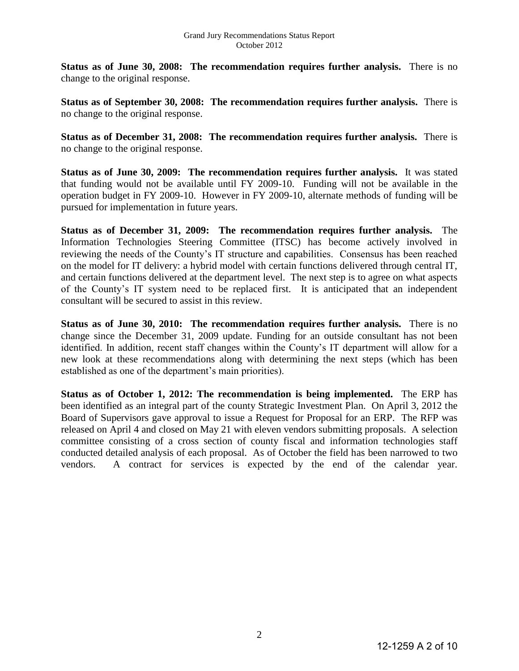**Status as of June 30, 2008: The recommendation requires further analysis.** There is no change to the original response.

**Status as of September 30, 2008: The recommendation requires further analysis.** There is no change to the original response.

**Status as of December 31, 2008: The recommendation requires further analysis.** There is no change to the original response.

**Status as of June 30, 2009: The recommendation requires further analysis.** It was stated that funding would not be available until FY 2009-10. Funding will not be available in the operation budget in FY 2009-10. However in FY 2009-10, alternate methods of funding will be pursued for implementation in future years.

**Status as of December 31, 2009: The recommendation requires further analysis.** The Information Technologies Steering Committee (ITSC) has become actively involved in reviewing the needs of the County's IT structure and capabilities. Consensus has been reached on the model for IT delivery: a hybrid model with certain functions delivered through central IT, and certain functions delivered at the department level. The next step is to agree on what aspects of the County's IT system need to be replaced first. It is anticipated that an independent consultant will be secured to assist in this review.

**Status as of June 30, 2010: The recommendation requires further analysis.** There is no change since the December 31, 2009 update. Funding for an outside consultant has not been identified. In addition, recent staff changes within the County's IT department will allow for a new look at these recommendations along with determining the next steps (which has been established as one of the department's main priorities).

**Status as of October 1, 2012: The recommendation is being implemented.** The ERP has been identified as an integral part of the county Strategic Investment Plan. On April 3, 2012 the Board of Supervisors gave approval to issue a Request for Proposal for an ERP. The RFP was released on April 4 and closed on May 21 with eleven vendors submitting proposals. A selection committee consisting of a cross section of county fiscal and information technologies staff conducted detailed analysis of each proposal. As of October the field has been narrowed to two vendors. A contract for services is expected by the end of the calendar year.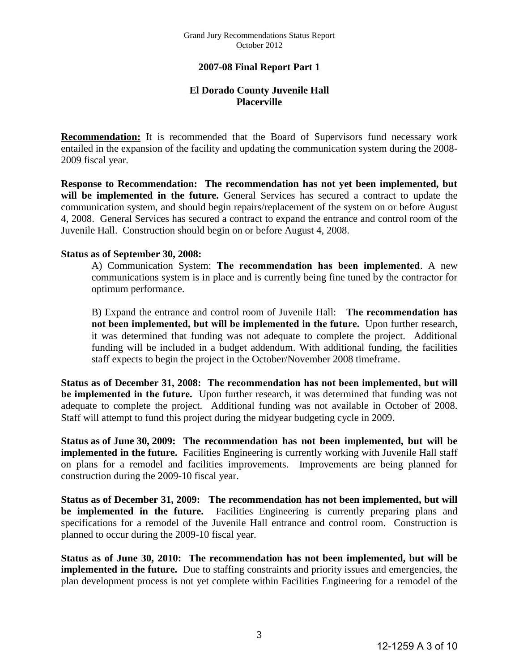## **2007-08 Final Report Part 1**

## **El Dorado County Juvenile Hall Placerville**

**Recommendation:** It is recommended that the Board of Supervisors fund necessary work entailed in the expansion of the facility and updating the communication system during the 2008- 2009 fiscal year.

**Response to Recommendation: The recommendation has not yet been implemented, but will be implemented in the future.** General Services has secured a contract to update the communication system, and should begin repairs/replacement of the system on or before August 4, 2008. General Services has secured a contract to expand the entrance and control room of the Juvenile Hall. Construction should begin on or before August 4, 2008.

#### **Status as of September 30, 2008:**

A) Communication System: **The recommendation has been implemented**. A new communications system is in place and is currently being fine tuned by the contractor for optimum performance.

B) Expand the entrance and control room of Juvenile Hall: **The recommendation has not been implemented, but will be implemented in the future.** Upon further research, it was determined that funding was not adequate to complete the project. Additional funding will be included in a budget addendum. With additional funding, the facilities staff expects to begin the project in the October/November 2008 timeframe.

**Status as of December 31, 2008: The recommendation has not been implemented, but will be implemented in the future.** Upon further research, it was determined that funding was not adequate to complete the project. Additional funding was not available in October of 2008. Staff will attempt to fund this project during the midyear budgeting cycle in 2009.

**Status as of June 30, 2009: The recommendation has not been implemented, but will be implemented in the future.** Facilities Engineering is currently working with Juvenile Hall staff on plans for a remodel and facilities improvements. Improvements are being planned for construction during the 2009-10 fiscal year.

**Status as of December 31, 2009: The recommendation has not been implemented, but will be implemented in the future.** Facilities Engineering is currently preparing plans and specifications for a remodel of the Juvenile Hall entrance and control room. Construction is planned to occur during the 2009-10 fiscal year.

**Status as of June 30, 2010: The recommendation has not been implemented, but will be implemented in the future.** Due to staffing constraints and priority issues and emergencies, the plan development process is not yet complete within Facilities Engineering for a remodel of the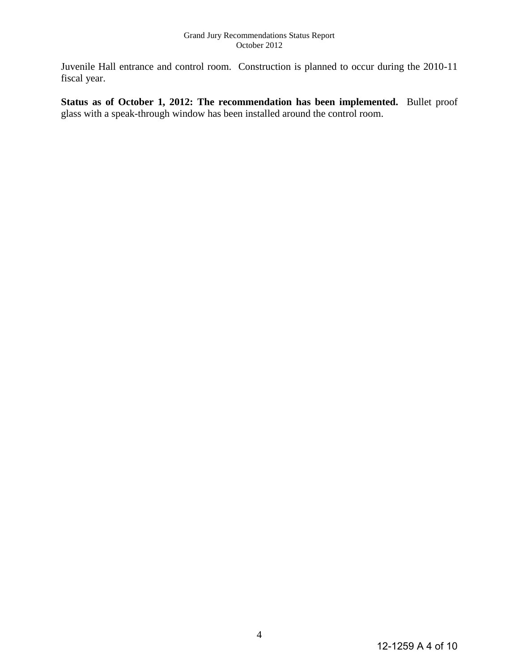Juvenile Hall entrance and control room. Construction is planned to occur during the 2010-11 fiscal year.

**Status as of October 1, 2012: The recommendation has been implemented.** Bullet proof glass with a speak-through window has been installed around the control room.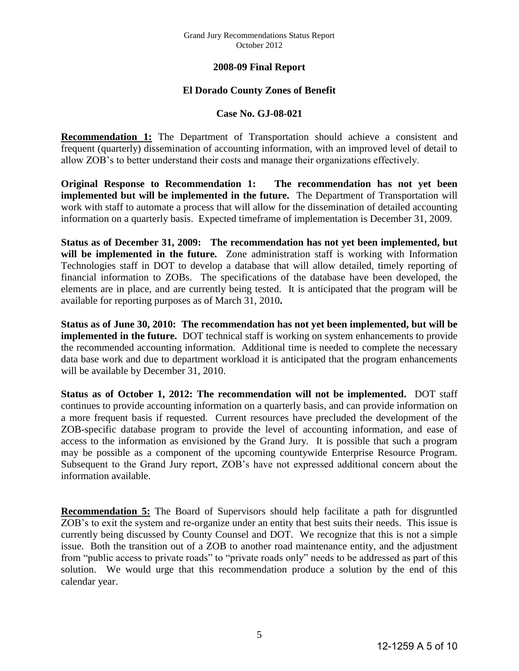## **2008-09 Final Report**

## **El Dorado County Zones of Benefit**

#### **Case No. GJ-08-021**

**Recommendation 1:** The Department of Transportation should achieve a consistent and frequent (quarterly) dissemination of accounting information, with an improved level of detail to allow ZOB's to better understand their costs and manage their organizations effectively.

**Original Response to Recommendation 1: The recommendation has not yet been implemented but will be implemented in the future.** The Department of Transportation will work with staff to automate a process that will allow for the dissemination of detailed accounting information on a quarterly basis. Expected timeframe of implementation is December 31, 2009.

**Status as of December 31, 2009: The recommendation has not yet been implemented, but**  will be implemented in the future. Zone administration staff is working with Information Technologies staff in DOT to develop a database that will allow detailed, timely reporting of financial information to ZOBs. The specifications of the database have been developed, the elements are in place, and are currently being tested. It is anticipated that the program will be available for reporting purposes as of March 31, 2010**.** 

**Status as of June 30, 2010: The recommendation has not yet been implemented, but will be implemented in the future.** DOT technical staff is working on system enhancements to provide the recommended accounting information. Additional time is needed to complete the necessary data base work and due to department workload it is anticipated that the program enhancements will be available by December 31, 2010.

**Status as of October 1, 2012: The recommendation will not be implemented.** DOT staff continues to provide accounting information on a quarterly basis, and can provide information on a more frequent basis if requested. Current resources have precluded the development of the ZOB-specific database program to provide the level of accounting information, and ease of access to the information as envisioned by the Grand Jury. It is possible that such a program may be possible as a component of the upcoming countywide Enterprise Resource Program. Subsequent to the Grand Jury report, ZOB's have not expressed additional concern about the information available.

**Recommendation 5:** The Board of Supervisors should help facilitate a path for disgruntled ZOB's to exit the system and re-organize under an entity that best suits their needs. This issue is currently being discussed by County Counsel and DOT. We recognize that this is not a simple issue. Both the transition out of a ZOB to another road maintenance entity, and the adjustment from "public access to private roads" to "private roads only" needs to be addressed as part of this solution. We would urge that this recommendation produce a solution by the end of this calendar year.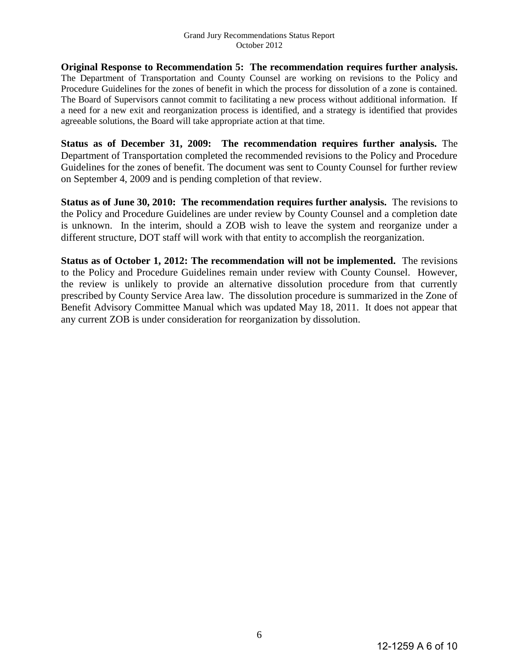**Original Response to Recommendation 5: The recommendation requires further analysis.**  The Department of Transportation and County Counsel are working on revisions to the Policy and Procedure Guidelines for the zones of benefit in which the process for dissolution of a zone is contained. The Board of Supervisors cannot commit to facilitating a new process without additional information. If a need for a new exit and reorganization process is identified, and a strategy is identified that provides agreeable solutions, the Board will take appropriate action at that time.

**Status as of December 31, 2009: The recommendation requires further analysis.** The Department of Transportation completed the recommended revisions to the Policy and Procedure Guidelines for the zones of benefit. The document was sent to County Counsel for further review on September 4, 2009 and is pending completion of that review.

**Status as of June 30, 2010: The recommendation requires further analysis.** The revisions to the Policy and Procedure Guidelines are under review by County Counsel and a completion date is unknown. In the interim, should a ZOB wish to leave the system and reorganize under a different structure, DOT staff will work with that entity to accomplish the reorganization.

**Status as of October 1, 2012: The recommendation will not be implemented.** The revisions to the Policy and Procedure Guidelines remain under review with County Counsel. However, the review is unlikely to provide an alternative dissolution procedure from that currently prescribed by County Service Area law. The dissolution procedure is summarized in the Zone of Benefit Advisory Committee Manual which was updated May 18, 2011. It does not appear that any current ZOB is under consideration for reorganization by dissolution.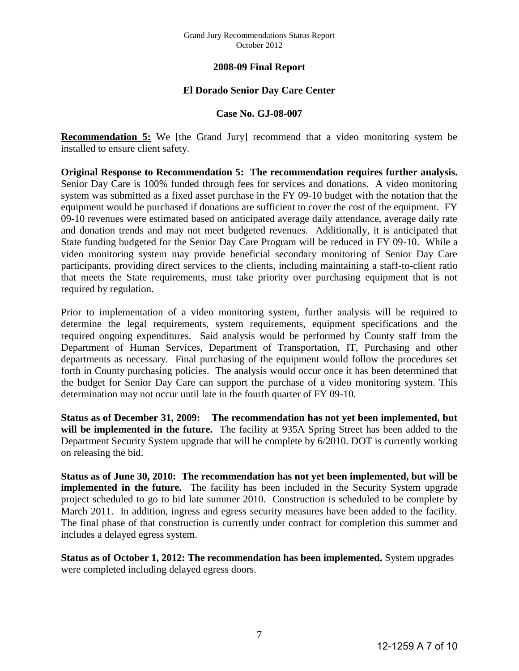#### Grand Jury Recommendations Status Report October 2012

## **2008-09 Final Report**

## **El Dorado Senior Day Care Center**

#### **Case No. GJ-08-007**

**Recommendation 5:** We [the Grand Jury] recommend that a video monitoring system be installed to ensure client safety.

**Original Response to Recommendation 5: The recommendation requires further analysis.** Senior Day Care is 100% funded through fees for services and donations. A video monitoring system was submitted as a fixed asset purchase in the FY 09-10 budget with the notation that the equipment would be purchased if donations are sufficient to cover the cost of the equipment. FY 09-10 revenues were estimated based on anticipated average daily attendance, average daily rate and donation trends and may not meet budgeted revenues. Additionally, it is anticipated that State funding budgeted for the Senior Day Care Program will be reduced in FY 09-10. While a video monitoring system may provide beneficial secondary monitoring of Senior Day Care participants, providing direct services to the clients, including maintaining a staff-to-client ratio that meets the State requirements, must take priority over purchasing equipment that is not required by regulation.

Prior to implementation of a video monitoring system, further analysis will be required to determine the legal requirements, system requirements, equipment specifications and the required ongoing expenditures. Said analysis would be performed by County staff from the Department of Human Services, Department of Transportation, IT, Purchasing and other departments as necessary. Final purchasing of the equipment would follow the procedures set forth in County purchasing policies. The analysis would occur once it has been determined that the budget for Senior Day Care can support the purchase of a video monitoring system. This determination may not occur until late in the fourth quarter of FY 09-10.

**Status as of December 31, 2009: The recommendation has not yet been implemented, but will be implemented in the future.** The facility at 935A Spring Street has been added to the Department Security System upgrade that will be complete by 6/2010. DOT is currently working on releasing the bid.

**Status as of June 30, 2010: The recommendation has not yet been implemented, but will be implemented in the future.** The facility has been included in the Security System upgrade project scheduled to go to bid late summer 2010. Construction is scheduled to be complete by March 2011. In addition, ingress and egress security measures have been added to the facility. The final phase of that construction is currently under contract for completion this summer and includes a delayed egress system.

**Status as of October 1, 2012: The recommendation has been implemented.** System upgrades were completed including delayed egress doors.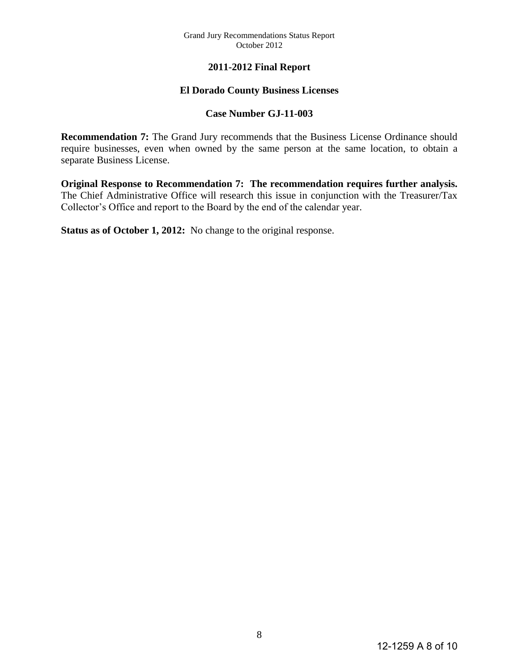# **2011-2012 Final Report**

# **El Dorado County Business Licenses**

## **Case Number GJ-11-003**

**Recommendation 7:** The Grand Jury recommends that the Business License Ordinance should require businesses, even when owned by the same person at the same location, to obtain a separate Business License.

**Original Response to Recommendation 7: The recommendation requires further analysis.** The Chief Administrative Office will research this issue in conjunction with the Treasurer/Tax Collector's Office and report to the Board by the end of the calendar year.

**Status as of October 1, 2012:** No change to the original response.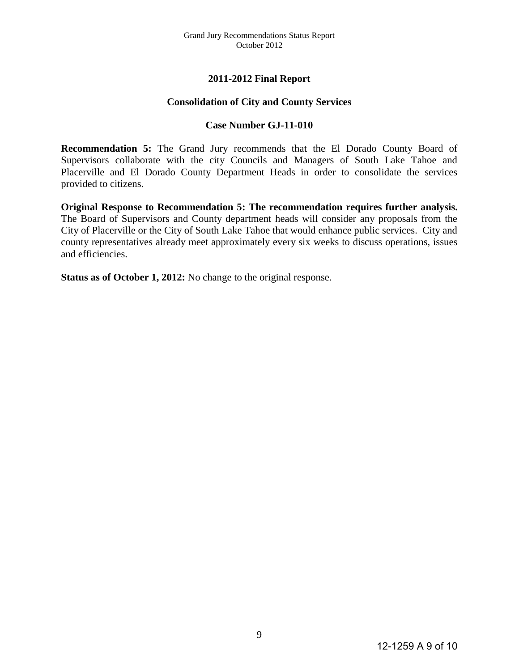# **2011-2012 Final Report**

#### **Consolidation of City and County Services**

#### **Case Number GJ-11-010**

**Recommendation 5:** The Grand Jury recommends that the El Dorado County Board of Supervisors collaborate with the city Councils and Managers of South Lake Tahoe and Placerville and El Dorado County Department Heads in order to consolidate the services provided to citizens.

**Original Response to Recommendation 5: The recommendation requires further analysis.** The Board of Supervisors and County department heads will consider any proposals from the City of Placerville or the City of South Lake Tahoe that would enhance public services. City and county representatives already meet approximately every six weeks to discuss operations, issues and efficiencies.

**Status as of October 1, 2012:** No change to the original response.